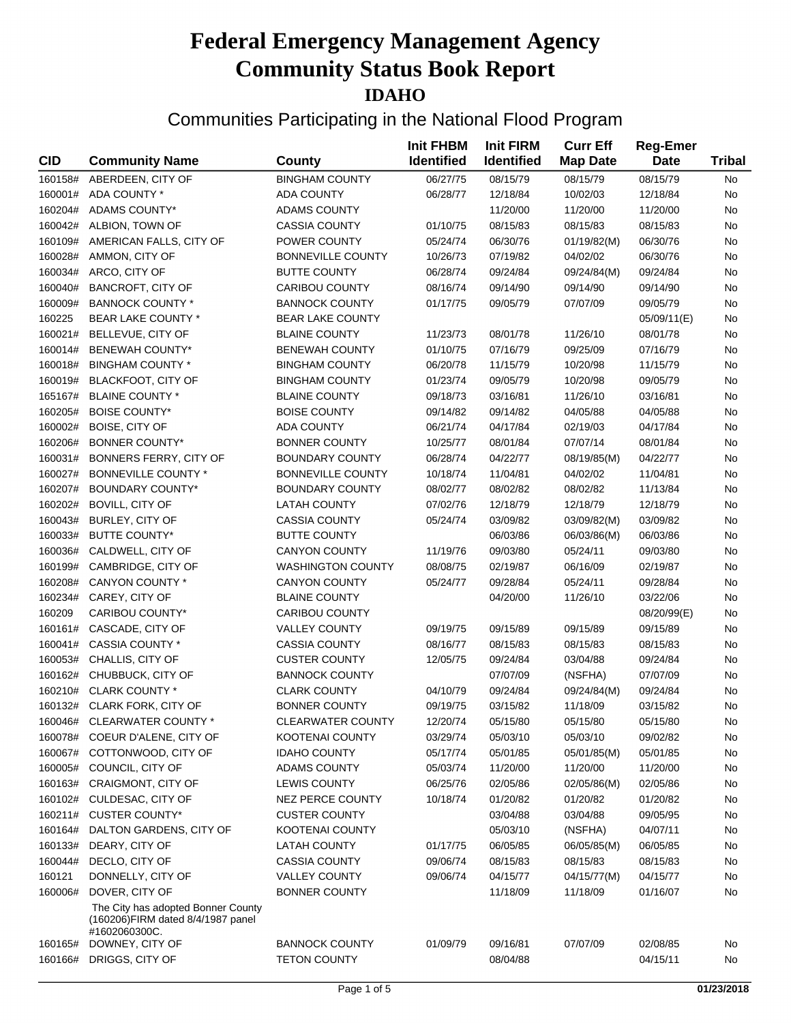| <b>CID</b> | <b>Community Name</b>                                                                    | <b>County</b>            | <b>Init FHBM</b><br><b>Identified</b> | <b>Init FIRM</b><br><b>Identified</b> | <b>Curr Eff</b><br><b>Map Date</b> | <b>Reg-Emer</b><br><b>Date</b> | <b>Tribal</b> |
|------------|------------------------------------------------------------------------------------------|--------------------------|---------------------------------------|---------------------------------------|------------------------------------|--------------------------------|---------------|
| 160158#    | ABERDEEN, CITY OF                                                                        | <b>BINGHAM COUNTY</b>    | 06/27/75                              | 08/15/79                              | 08/15/79                           | 08/15/79                       | No            |
| 160001#    | ADA COUNTY *                                                                             | <b>ADA COUNTY</b>        | 06/28/77                              | 12/18/84                              | 10/02/03                           | 12/18/84                       | No            |
| 160204#    | <b>ADAMS COUNTY*</b>                                                                     | <b>ADAMS COUNTY</b>      |                                       | 11/20/00                              | 11/20/00                           | 11/20/00                       | No            |
| 160042#    | ALBION, TOWN OF                                                                          | <b>CASSIA COUNTY</b>     | 01/10/75                              | 08/15/83                              | 08/15/83                           | 08/15/83                       | No            |
| 160109#    | AMERICAN FALLS, CITY OF                                                                  | POWER COUNTY             | 05/24/74                              | 06/30/76                              | 01/19/82(M)                        | 06/30/76                       | No            |
| 160028#    | AMMON, CITY OF                                                                           | <b>BONNEVILLE COUNTY</b> | 10/26/73                              | 07/19/82                              | 04/02/02                           | 06/30/76                       | No            |
| 160034#    | ARCO, CITY OF                                                                            | <b>BUTTE COUNTY</b>      | 06/28/74                              | 09/24/84                              | 09/24/84(M)                        | 09/24/84                       | No            |
| 160040#    | <b>BANCROFT, CITY OF</b>                                                                 | CARIBOU COUNTY           | 08/16/74                              | 09/14/90                              | 09/14/90                           | 09/14/90                       | No            |
| 160009#    | <b>BANNOCK COUNTY *</b>                                                                  | <b>BANNOCK COUNTY</b>    | 01/17/75                              | 09/05/79                              | 07/07/09                           | 09/05/79                       | No            |
| 160225     | <b>BEAR LAKE COUNTY *</b>                                                                | <b>BEAR LAKE COUNTY</b>  |                                       |                                       |                                    | 05/09/11(E)                    | No            |
| 160021#    | BELLEVUE, CITY OF                                                                        | <b>BLAINE COUNTY</b>     | 11/23/73                              | 08/01/78                              | 11/26/10                           | 08/01/78                       | No            |
| 160014#    | <b>BENEWAH COUNTY*</b>                                                                   | <b>BENEWAH COUNTY</b>    | 01/10/75                              | 07/16/79                              | 09/25/09                           | 07/16/79                       | No            |
| 160018#    | <b>BINGHAM COUNTY *</b>                                                                  | <b>BINGHAM COUNTY</b>    | 06/20/78                              | 11/15/79                              | 10/20/98                           | 11/15/79                       | No            |
| 160019#    | <b>BLACKFOOT, CITY OF</b>                                                                | <b>BINGHAM COUNTY</b>    | 01/23/74                              | 09/05/79                              | 10/20/98                           | 09/05/79                       | No            |
| 165167#    | <b>BLAINE COUNTY *</b>                                                                   | <b>BLAINE COUNTY</b>     | 09/18/73                              | 03/16/81                              | 11/26/10                           | 03/16/81                       | No            |
| 160205#    | <b>BOISE COUNTY*</b>                                                                     | <b>BOISE COUNTY</b>      | 09/14/82                              | 09/14/82                              | 04/05/88                           | 04/05/88                       | No            |
| 160002#    | <b>BOISE, CITY OF</b>                                                                    | <b>ADA COUNTY</b>        | 06/21/74                              | 04/17/84                              | 02/19/03                           | 04/17/84                       | No            |
| 160206#    | <b>BONNER COUNTY*</b>                                                                    | <b>BONNER COUNTY</b>     | 10/25/77                              | 08/01/84                              | 07/07/14                           | 08/01/84                       | No            |
| 160031#    | BONNERS FERRY, CITY OF                                                                   | <b>BOUNDARY COUNTY</b>   | 06/28/74                              | 04/22/77                              | 08/19/85(M)                        | 04/22/77                       | No            |
| 160027#    | <b>BONNEVILLE COUNTY *</b>                                                               | <b>BONNEVILLE COUNTY</b> | 10/18/74                              | 11/04/81                              | 04/02/02                           | 11/04/81                       | No            |
| 160207#    | <b>BOUNDARY COUNTY*</b>                                                                  | <b>BOUNDARY COUNTY</b>   | 08/02/77                              | 08/02/82                              | 08/02/82                           | 11/13/84                       | No            |
| 160202#    | <b>BOVILL, CITY OF</b>                                                                   | <b>LATAH COUNTY</b>      | 07/02/76                              | 12/18/79                              | 12/18/79                           | 12/18/79                       | No            |
| 160043#    | <b>BURLEY, CITY OF</b>                                                                   | <b>CASSIA COUNTY</b>     | 05/24/74                              | 03/09/82                              | 03/09/82(M)                        | 03/09/82                       | No            |
| 160033#    | <b>BUTTE COUNTY*</b>                                                                     | <b>BUTTE COUNTY</b>      |                                       | 06/03/86                              | 06/03/86(M)                        | 06/03/86                       | No            |
| 160036#    | CALDWELL, CITY OF                                                                        | <b>CANYON COUNTY</b>     | 11/19/76                              | 09/03/80                              | 05/24/11                           | 09/03/80                       | No            |
| 160199#    | CAMBRIDGE, CITY OF                                                                       | <b>WASHINGTON COUNTY</b> | 08/08/75                              | 02/19/87                              | 06/16/09                           | 02/19/87                       | No            |
| 160208#    | CANYON COUNTY *                                                                          | <b>CANYON COUNTY</b>     | 05/24/77                              | 09/28/84                              | 05/24/11                           | 09/28/84                       | No            |
| 160234#    | CAREY, CITY OF                                                                           | <b>BLAINE COUNTY</b>     |                                       | 04/20/00                              | 11/26/10                           | 03/22/06                       | No            |
| 160209     | CARIBOU COUNTY*                                                                          | <b>CARIBOU COUNTY</b>    |                                       |                                       |                                    | 08/20/99(E)                    | No            |
| 160161#    | CASCADE, CITY OF                                                                         | <b>VALLEY COUNTY</b>     | 09/19/75                              | 09/15/89                              | 09/15/89                           | 09/15/89                       | No            |
| 160041#    | CASSIA COUNTY *                                                                          | <b>CASSIA COUNTY</b>     | 08/16/77                              | 08/15/83                              | 08/15/83                           | 08/15/83                       | No            |
| 160053#    | CHALLIS, CITY OF                                                                         | <b>CUSTER COUNTY</b>     | 12/05/75                              | 09/24/84                              | 03/04/88                           | 09/24/84                       | No            |
| 160162#    | CHUBBUCK, CITY OF                                                                        | <b>BANNOCK COUNTY</b>    |                                       | 07/07/09                              | (NSFHA)                            | 07/07/09                       | No            |
| 160210#    | <b>CLARK COUNTY *</b>                                                                    | <b>CLARK COUNTY</b>      | 04/10/79                              | 09/24/84                              | 09/24/84(M)                        | 09/24/84                       | No            |
| 160132#    | <b>CLARK FORK, CITY OF</b>                                                               | <b>BONNER COUNTY</b>     | 09/19/75                              | 03/15/82                              | 11/18/09                           | 03/15/82                       | No            |
| 160046#    | CLEARWATER COUNTY *                                                                      | <b>CLEARWATER COUNTY</b> | 12/20/74                              | 05/15/80                              | 05/15/80                           | 05/15/80                       | No            |
| 160078#    | COEUR D'ALENE, CITY OF                                                                   | <b>KOOTENAI COUNTY</b>   | 03/29/74                              | 05/03/10                              | 05/03/10                           | 09/02/82                       | No            |
| 160067#    | COTTONWOOD, CITY OF                                                                      | <b>IDAHO COUNTY</b>      | 05/17/74                              | 05/01/85                              | 05/01/85(M)                        | 05/01/85                       | No            |
| 160005#    | COUNCIL, CITY OF                                                                         | <b>ADAMS COUNTY</b>      | 05/03/74                              | 11/20/00                              | 11/20/00                           | 11/20/00                       | No            |
| 160163#    | <b>CRAIGMONT, CITY OF</b>                                                                | <b>LEWIS COUNTY</b>      | 06/25/76                              | 02/05/86                              | 02/05/86(M)                        | 02/05/86                       | No            |
| 160102#    | CULDESAC, CITY OF                                                                        | <b>NEZ PERCE COUNTY</b>  | 10/18/74                              | 01/20/82                              | 01/20/82                           | 01/20/82                       | No            |
| 160211#    | <b>CUSTER COUNTY*</b>                                                                    | <b>CUSTER COUNTY</b>     |                                       | 03/04/88                              | 03/04/88                           | 09/05/95                       | No            |
| 160164#    | DALTON GARDENS, CITY OF                                                                  | <b>KOOTENAI COUNTY</b>   |                                       | 05/03/10                              | (NSFHA)                            | 04/07/11                       | No            |
| 160133#    | DEARY, CITY OF                                                                           | <b>LATAH COUNTY</b>      | 01/17/75                              | 06/05/85                              | 06/05/85(M)                        | 06/05/85                       | No            |
| 160044#    | DECLO, CITY OF                                                                           | <b>CASSIA COUNTY</b>     | 09/06/74                              | 08/15/83                              | 08/15/83                           | 08/15/83                       | No            |
| 160121     | DONNELLY, CITY OF                                                                        | <b>VALLEY COUNTY</b>     | 09/06/74                              | 04/15/77                              | 04/15/77(M)                        | 04/15/77                       | No            |
| 160006#    | DOVER, CITY OF                                                                           | <b>BONNER COUNTY</b>     |                                       | 11/18/09                              | 11/18/09                           | 01/16/07                       | No            |
|            | The City has adopted Bonner County<br>(160206)FIRM dated 8/4/1987 panel<br>#1602060300C. |                          |                                       |                                       |                                    |                                |               |
| 160165#    | DOWNEY, CITY OF                                                                          | <b>BANNOCK COUNTY</b>    | 01/09/79                              | 09/16/81                              | 07/07/09                           | 02/08/85                       | No            |
| 160166#    | DRIGGS, CITY OF                                                                          | <b>TETON COUNTY</b>      |                                       | 08/04/88                              |                                    | 04/15/11                       | No            |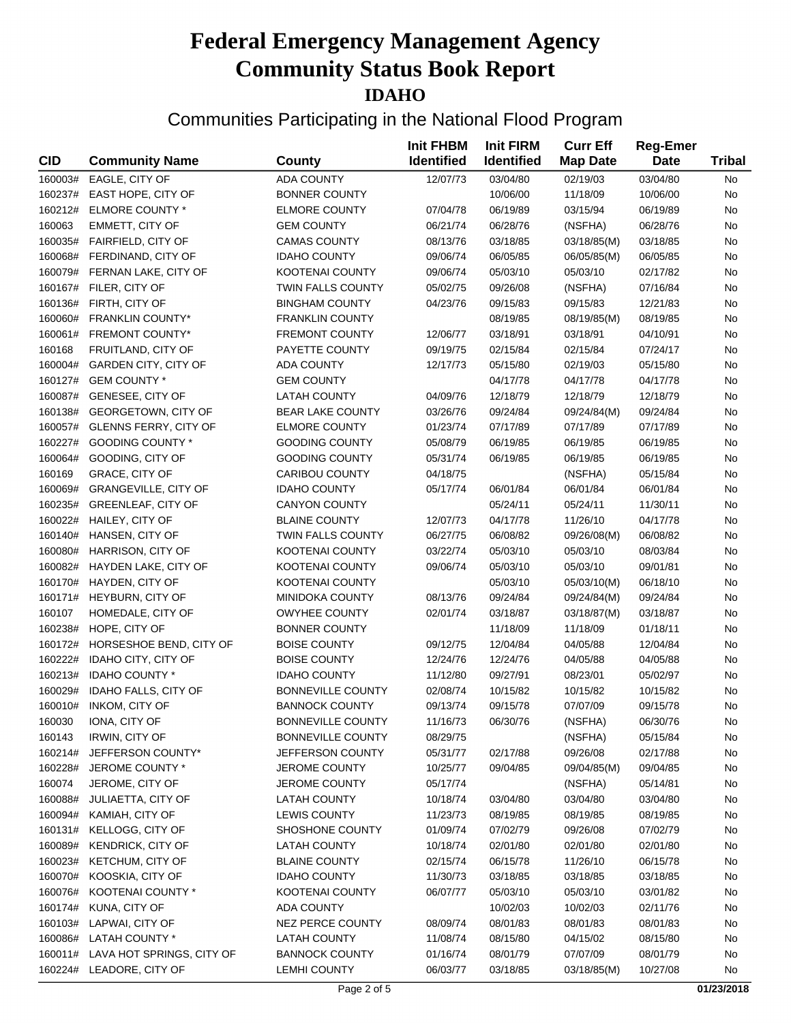|            |                                   |                          | <b>Init FHBM</b><br><b>Identified</b> | <b>Init FIRM</b>  | <b>Curr Eff</b> | <b>Reg-Emer</b> |               |
|------------|-----------------------------------|--------------------------|---------------------------------------|-------------------|-----------------|-----------------|---------------|
| <b>CID</b> | <b>Community Name</b>             | <b>County</b>            |                                       | <b>Identified</b> | <b>Map Date</b> | <b>Date</b>     | <b>Tribal</b> |
| 160003#    | EAGLE, CITY OF                    | <b>ADA COUNTY</b>        | 12/07/73                              | 03/04/80          | 02/19/03        | 03/04/80        | No            |
| 160237#    | EAST HOPE, CITY OF                | <b>BONNER COUNTY</b>     |                                       | 10/06/00          | 11/18/09        | 10/06/00        | No            |
| 160212#    | ELMORE COUNTY *                   | <b>ELMORE COUNTY</b>     | 07/04/78                              | 06/19/89          | 03/15/94        | 06/19/89        | No            |
| 160063     | EMMETT, CITY OF                   | <b>GEM COUNTY</b>        | 06/21/74                              | 06/28/76          | (NSFHA)         | 06/28/76        | No            |
| 160035#    | <b>FAIRFIELD, CITY OF</b>         | <b>CAMAS COUNTY</b>      | 08/13/76                              | 03/18/85          | 03/18/85(M)     | 03/18/85        | No            |
| 160068#    | FERDINAND, CITY OF                | <b>IDAHO COUNTY</b>      | 09/06/74                              | 06/05/85          | 06/05/85(M)     | 06/05/85        | No            |
| 160079#    | FERNAN LAKE, CITY OF              | <b>KOOTENAI COUNTY</b>   | 09/06/74                              | 05/03/10          | 05/03/10        | 02/17/82        | No            |
| 160167#    | FILER, CITY OF                    | TWIN FALLS COUNTY        | 05/02/75                              | 09/26/08          | (NSFHA)         | 07/16/84        | No            |
| 160136#    | FIRTH, CITY OF                    | <b>BINGHAM COUNTY</b>    | 04/23/76                              | 09/15/83          | 09/15/83        | 12/21/83        | No            |
| 160060#    | <b>FRANKLIN COUNTY*</b>           | <b>FRANKLIN COUNTY</b>   |                                       | 08/19/85          | 08/19/85(M)     | 08/19/85        | No            |
| 160061#    | <b>FREMONT COUNTY*</b>            | FREMONT COUNTY           | 12/06/77                              | 03/18/91          | 03/18/91        | 04/10/91        | No            |
| 160168     | FRUITLAND, CITY OF                | PAYETTE COUNTY           | 09/19/75                              | 02/15/84          | 02/15/84        | 07/24/17        | No            |
| 160004#    | <b>GARDEN CITY, CITY OF</b>       | <b>ADA COUNTY</b>        | 12/17/73                              | 05/15/80          | 02/19/03        | 05/15/80        | No            |
| 160127#    | <b>GEM COUNTY *</b>               | <b>GEM COUNTY</b>        |                                       | 04/17/78          | 04/17/78        | 04/17/78        | No            |
| 160087#    | GENESEE, CITY OF                  | <b>LATAH COUNTY</b>      | 04/09/76                              | 12/18/79          | 12/18/79        | 12/18/79        | No            |
| 160138#    | <b>GEORGETOWN, CITY OF</b>        | <b>BEAR LAKE COUNTY</b>  | 03/26/76                              | 09/24/84          | 09/24/84(M)     | 09/24/84        | No            |
| 160057#    | <b>GLENNS FERRY, CITY OF</b>      | <b>ELMORE COUNTY</b>     | 01/23/74                              | 07/17/89          | 07/17/89        | 07/17/89        | No            |
| 160227#    | <b>GOODING COUNTY *</b>           | <b>GOODING COUNTY</b>    | 05/08/79                              | 06/19/85          | 06/19/85        | 06/19/85        | No            |
| 160064#    | GOODING, CITY OF                  | <b>GOODING COUNTY</b>    | 05/31/74                              | 06/19/85          | 06/19/85        | 06/19/85        | No            |
| 160169     | <b>GRACE, CITY OF</b>             | CARIBOU COUNTY           | 04/18/75                              |                   | (NSFHA)         | 05/15/84        | No            |
| 160069#    | <b>GRANGEVILLE, CITY OF</b>       | <b>IDAHO COUNTY</b>      | 05/17/74                              | 06/01/84          | 06/01/84        | 06/01/84        | No            |
| 160235#    | <b>GREENLEAF, CITY OF</b>         | CANYON COUNTY            |                                       | 05/24/11          | 05/24/11        | 11/30/11        | No            |
| 160022#    | HAILEY, CITY OF                   | <b>BLAINE COUNTY</b>     | 12/07/73                              | 04/17/78          | 11/26/10        | 04/17/78        | No            |
| 160140#    | HANSEN, CITY OF                   | TWIN FALLS COUNTY        | 06/27/75                              | 06/08/82          | 09/26/08(M)     | 06/08/82        | No            |
| 160080#    | <b>HARRISON, CITY OF</b>          | <b>KOOTENAI COUNTY</b>   | 03/22/74                              | 05/03/10          | 05/03/10        | 08/03/84        | No            |
| 160082#    | <b>HAYDEN LAKE, CITY OF</b>       | <b>KOOTENAI COUNTY</b>   | 09/06/74                              | 05/03/10          | 05/03/10        | 09/01/81        | No            |
| 160170#    | HAYDEN, CITY OF                   | <b>KOOTENAI COUNTY</b>   |                                       | 05/03/10          | 05/03/10(M)     | 06/18/10        | No            |
| 160171#    | <b>HEYBURN, CITY OF</b>           | <b>MINIDOKA COUNTY</b>   | 08/13/76                              | 09/24/84          | 09/24/84(M)     | 09/24/84        | No            |
| 160107     | HOMEDALE, CITY OF                 | <b>OWYHEE COUNTY</b>     | 02/01/74                              | 03/18/87          | 03/18/87(M)     | 03/18/87        | No            |
| 160238#    | HOPE, CITY OF                     | <b>BONNER COUNTY</b>     |                                       | 11/18/09          | 11/18/09        | 01/18/11        | No            |
| 160172#    | HORSESHOE BEND, CITY OF           | <b>BOISE COUNTY</b>      | 09/12/75                              | 12/04/84          | 04/05/88        | 12/04/84        | No            |
| 160222#    | IDAHO CITY, CITY OF               | <b>BOISE COUNTY</b>      | 12/24/76                              | 12/24/76          | 04/05/88        | 04/05/88        | No            |
| 160213#    | <b>IDAHO COUNTY *</b>             | <b>IDAHO COUNTY</b>      | 11/12/80                              | 09/27/91          | 08/23/01        | 05/02/97        | No            |
| 160029#    | <b>IDAHO FALLS, CITY OF</b>       | <b>BONNEVILLE COUNTY</b> | 02/08/74                              | 10/15/82          | 10/15/82        | 10/15/82        | No            |
| 160010#    | <b>INKOM, CITY OF</b>             | <b>BANNOCK COUNTY</b>    | 09/13/74                              | 09/15/78          | 07/07/09        | 09/15/78        | No            |
| 160030     | IONA, CITY OF                     | <b>BONNEVILLE COUNTY</b> | 11/16/73                              | 06/30/76          | (NSFHA)         | 06/30/76        | No            |
| 160143     | <b>IRWIN, CITY OF</b>             | <b>BONNEVILLE COUNTY</b> | 08/29/75                              |                   | (NSFHA)         | 05/15/84        | No            |
| 160214#    | JEFFERSON COUNTY*                 | JEFFERSON COUNTY         | 05/31/77                              | 02/17/88          | 09/26/08        | 02/17/88        | No            |
| 160228#    | JEROME COUNTY *                   | <b>JEROME COUNTY</b>     | 10/25/77                              | 09/04/85          | 09/04/85(M)     | 09/04/85        | No            |
| 160074     | JEROME, CITY OF                   | JEROME COUNTY            | 05/17/74                              |                   | (NSFHA)         | 05/14/81        | No            |
| 160088#    | JULIAETTA, CITY OF                | <b>LATAH COUNTY</b>      | 10/18/74                              | 03/04/80          | 03/04/80        | 03/04/80        | No            |
| 160094#    | KAMIAH, CITY OF                   | <b>LEWIS COUNTY</b>      | 11/23/73                              | 08/19/85          | 08/19/85        | 08/19/85        | No            |
| 160131#    | KELLOGG, CITY OF                  | SHOSHONE COUNTY          | 01/09/74                              | 07/02/79          | 09/26/08        | 07/02/79        | No            |
| 160089#    | <b>KENDRICK, CITY OF</b>          | <b>LATAH COUNTY</b>      | 10/18/74                              | 02/01/80          | 02/01/80        | 02/01/80        | No            |
| 160023#    | KETCHUM, CITY OF                  | <b>BLAINE COUNTY</b>     | 02/15/74                              | 06/15/78          | 11/26/10        | 06/15/78        | No            |
| 160070#    | KOOSKIA, CITY OF                  | <b>IDAHO COUNTY</b>      | 11/30/73                              | 03/18/85          | 03/18/85        | 03/18/85        | No            |
| 160076#    | KOOTENAI COUNTY *                 | KOOTENAI COUNTY          | 06/07/77                              | 05/03/10          | 05/03/10        | 03/01/82        | No            |
| 160174#    | KUNA, CITY OF                     | ADA COUNTY               |                                       | 10/02/03          | 10/02/03        | 02/11/76        | No            |
| 160103#    | LAPWAI, CITY OF                   | <b>NEZ PERCE COUNTY</b>  | 08/09/74                              | 08/01/83          | 08/01/83        | 08/01/83        | No            |
|            | 160086# LATAH COUNTY *            | <b>LATAH COUNTY</b>      | 11/08/74                              | 08/15/80          | 04/15/02        | 08/15/80        | No            |
|            | 160011# LAVA HOT SPRINGS, CITY OF | <b>BANNOCK COUNTY</b>    | 01/16/74                              | 08/01/79          | 07/07/09        | 08/01/79        | No            |
| 160224#    | LEADORE, CITY OF                  | <b>LEMHI COUNTY</b>      | 06/03/77                              | 03/18/85          | 03/18/85(M)     | 10/27/08        | No            |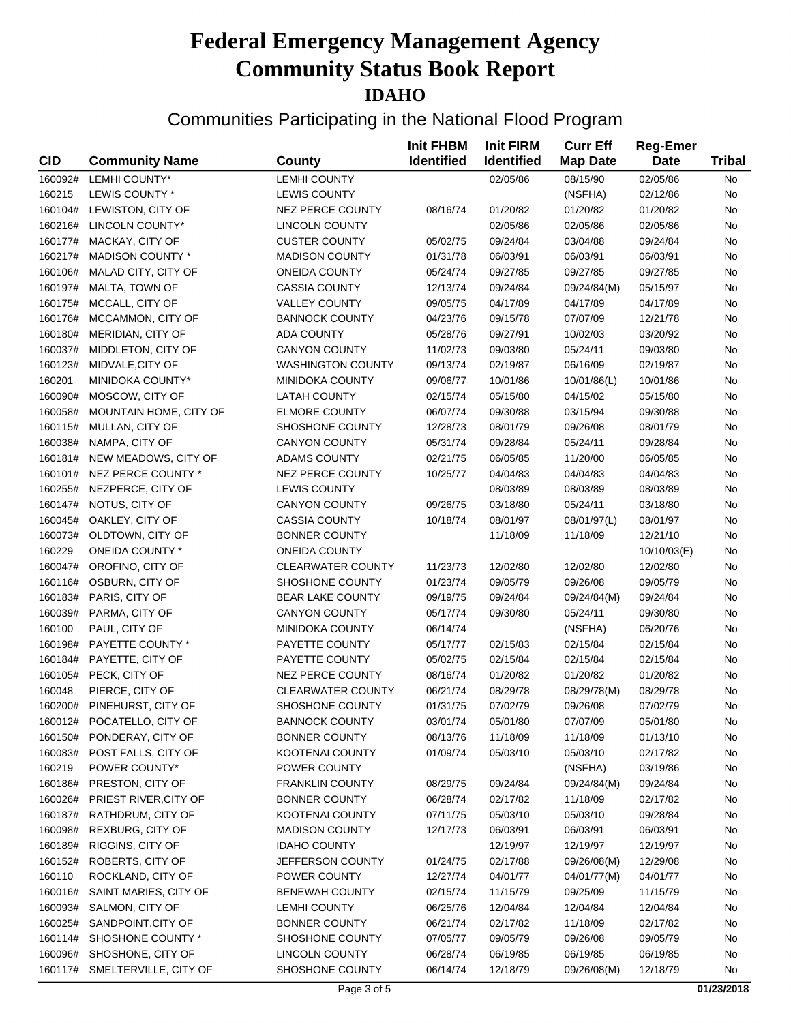| <b>CID</b>         | <b>Community Name</b>      | County                   | <b>Init FHBM</b><br><b>Identified</b> | <b>Init FIRM</b><br><b>Identified</b> | <b>Curr Eff</b><br><b>Map Date</b> | <b>Reg-Emer</b><br><b>Date</b> | <b>Tribal</b> |
|--------------------|----------------------------|--------------------------|---------------------------------------|---------------------------------------|------------------------------------|--------------------------------|---------------|
| 160092#            | <b>LEMHI COUNTY*</b>       | <b>LEMHI COUNTY</b>      |                                       | 02/05/86                              | 08/15/90                           | 02/05/86                       | No            |
| 160215             | LEWIS COUNTY *             | <b>LEWIS COUNTY</b>      |                                       |                                       | (NSFHA)                            | 02/12/86                       | No            |
| 160104#            | LEWISTON, CITY OF          | NEZ PERCE COUNTY         | 08/16/74                              | 01/20/82                              | 01/20/82                           | 01/20/82                       | No            |
| 160216#            | LINCOLN COUNTY*            | <b>LINCOLN COUNTY</b>    |                                       | 02/05/86                              | 02/05/86                           | 02/05/86                       | No            |
| 160177#            | MACKAY, CITY OF            | <b>CUSTER COUNTY</b>     | 05/02/75                              | 09/24/84                              | 03/04/88                           | 09/24/84                       | No            |
| 160217#            | <b>MADISON COUNTY *</b>    | <b>MADISON COUNTY</b>    | 01/31/78                              | 06/03/91                              | 06/03/91                           | 06/03/91                       | No            |
| 160106#            | MALAD CITY, CITY OF        | <b>ONEIDA COUNTY</b>     | 05/24/74                              | 09/27/85                              | 09/27/85                           | 09/27/85                       | No            |
| 160197#            | MALTA, TOWN OF             | <b>CASSIA COUNTY</b>     | 12/13/74                              | 09/24/84                              | 09/24/84(M)                        | 05/15/97                       | No            |
| 160175#            | MCCALL, CITY OF            | <b>VALLEY COUNTY</b>     | 09/05/75                              | 04/17/89                              | 04/17/89                           | 04/17/89                       | No            |
| 160176#            | MCCAMMON, CITY OF          | <b>BANNOCK COUNTY</b>    | 04/23/76                              | 09/15/78                              | 07/07/09                           | 12/21/78                       | No            |
| 160180#            | MERIDIAN, CITY OF          | <b>ADA COUNTY</b>        | 05/28/76                              | 09/27/91                              | 10/02/03                           | 03/20/92                       | No            |
| 160037#            | MIDDLETON, CITY OF         | <b>CANYON COUNTY</b>     | 11/02/73                              | 09/03/80                              | 05/24/11                           | 09/03/80                       | No            |
| 160123#            | MIDVALE, CITY OF           | WASHINGTON COUNTY        | 09/13/74                              | 02/19/87                              | 06/16/09                           | 02/19/87                       | No            |
| 160201             | MINIDOKA COUNTY*           | MINIDOKA COUNTY          | 09/06/77                              | 10/01/86                              | 10/01/86(L)                        | 10/01/86                       | No            |
| 160090#            | MOSCOW, CITY OF            | <b>LATAH COUNTY</b>      | 02/15/74                              | 05/15/80                              | 04/15/02                           | 05/15/80                       | No            |
| 160058#            | MOUNTAIN HOME, CITY OF     | <b>ELMORE COUNTY</b>     | 06/07/74                              | 09/30/88                              | 03/15/94                           | 09/30/88                       | No            |
| 160115#            | MULLAN, CITY OF            | SHOSHONE COUNTY          | 12/28/73                              | 08/01/79                              | 09/26/08                           | 08/01/79                       | No            |
| 160038#            | NAMPA, CITY OF             | <b>CANYON COUNTY</b>     | 05/31/74                              | 09/28/84                              | 05/24/11                           | 09/28/84                       | No            |
| 160181#            | NEW MEADOWS, CITY OF       | <b>ADAMS COUNTY</b>      | 02/21/75                              | 06/05/85                              | 11/20/00                           | 06/05/85                       | No            |
| 160101#            | NEZ PERCE COUNTY *         | <b>NEZ PERCE COUNTY</b>  | 10/25/77                              | 04/04/83                              | 04/04/83                           | 04/04/83                       | No            |
| 160255#            | NEZPERCE, CITY OF          | <b>LEWIS COUNTY</b>      |                                       | 08/03/89                              | 08/03/89                           | 08/03/89                       | No            |
| 160147#            | NOTUS, CITY OF             | <b>CANYON COUNTY</b>     | 09/26/75                              | 03/18/80                              | 05/24/11                           | 03/18/80                       | No            |
| 160045#            | OAKLEY, CITY OF            | <b>CASSIA COUNTY</b>     | 10/18/74                              | 08/01/97                              | 08/01/97(L)                        | 08/01/97                       | No            |
| 160073#            | OLDTOWN, CITY OF           | <b>BONNER COUNTY</b>     |                                       | 11/18/09                              | 11/18/09                           | 12/21/10                       | No            |
| 160229             | ONEIDA COUNTY *            | <b>ONEIDA COUNTY</b>     |                                       |                                       |                                    | 10/10/03(E)                    | No            |
| 160047#            | OROFINO, CITY OF           | <b>CLEARWATER COUNTY</b> | 11/23/73                              | 12/02/80                              | 12/02/80                           | 12/02/80                       | No            |
| 160116#            | OSBURN, CITY OF            | SHOSHONE COUNTY          | 01/23/74                              | 09/05/79                              | 09/26/08                           | 09/05/79                       | No            |
| 160183#            | PARIS, CITY OF             | <b>BEAR LAKE COUNTY</b>  | 09/19/75                              | 09/24/84                              | 09/24/84(M)                        | 09/24/84                       | No            |
| 160039#            | PARMA, CITY OF             | <b>CANYON COUNTY</b>     | 05/17/74                              | 09/30/80                              | 05/24/11                           | 09/30/80                       | No            |
| 160100             | PAUL, CITY OF              | <b>MINIDOKA COUNTY</b>   | 06/14/74                              |                                       |                                    | 06/20/76                       | No            |
|                    |                            |                          |                                       |                                       | (NSFHA)                            |                                |               |
| 160198#<br>160184# | PAYETTE COUNTY *           | PAYETTE COUNTY           | 05/17/77                              | 02/15/83                              | 02/15/84                           | 02/15/84                       | No            |
|                    | PAYETTE, CITY OF           | PAYETTE COUNTY           | 05/02/75                              | 02/15/84                              | 02/15/84                           | 02/15/84                       | No            |
| 160105#            | PECK, CITY OF              | NEZ PERCE COUNTY         | 08/16/74                              | 01/20/82                              | 01/20/82                           | 01/20/82                       | No            |
| 160048             | PIERCE, CITY OF            | <b>CLEARWATER COUNTY</b> | 06/21/74                              | 08/29/78                              | 08/29/78(M)                        | 08/29/78                       | No            |
|                    | 160200# PINEHURST, CITY OF | SHOSHONE COUNTY          | 01/31/75                              | 07/02/79                              | 09/26/08                           | 07/02/79                       | No            |
|                    | 160012# POCATELLO, CITY OF | <b>BANNOCK COUNTY</b>    | 03/01/74                              | 05/01/80                              | 07/07/09                           | 05/01/80                       | No            |
| 160150#            | PONDERAY, CITY OF          | <b>BONNER COUNTY</b>     | 08/13/76                              | 11/18/09                              | 11/18/09                           | 01/13/10                       | No            |
| 160083#            | POST FALLS, CITY OF        | KOOTENAI COUNTY          | 01/09/74                              | 05/03/10                              | 05/03/10                           | 02/17/82                       | No            |
| 160219             | POWER COUNTY*              | POWER COUNTY             |                                       |                                       | (NSFHA)                            | 03/19/86                       | No            |
| 160186#            | PRESTON, CITY OF           | <b>FRANKLIN COUNTY</b>   | 08/29/75                              | 09/24/84                              | 09/24/84(M)                        | 09/24/84                       | No            |
| 160026#            | PRIEST RIVER, CITY OF      | <b>BONNER COUNTY</b>     | 06/28/74                              | 02/17/82                              | 11/18/09                           | 02/17/82                       | No            |
| 160187#            | RATHDRUM, CITY OF          | KOOTENAI COUNTY          | 07/11/75                              | 05/03/10                              | 05/03/10                           | 09/28/84                       | No            |
| 160098#            | <b>REXBURG, CITY OF</b>    | <b>MADISON COUNTY</b>    | 12/17/73                              | 06/03/91                              | 06/03/91                           | 06/03/91                       | No            |
| 160189#            | <b>RIGGINS, CITY OF</b>    | <b>IDAHO COUNTY</b>      |                                       | 12/19/97                              | 12/19/97                           | 12/19/97                       | No            |
| 160152#            | <b>ROBERTS, CITY OF</b>    | JEFFERSON COUNTY         | 01/24/75                              | 02/17/88                              | 09/26/08(M)                        | 12/29/08                       | No            |
| 160110             | ROCKLAND, CITY OF          | POWER COUNTY             | 12/27/74                              | 04/01/77                              | 04/01/77(M)                        | 04/01/77                       | No            |
| 160016#            | SAINT MARIES, CITY OF      | <b>BENEWAH COUNTY</b>    | 02/15/74                              | 11/15/79                              | 09/25/09                           | 11/15/79                       | No            |
| 160093#            | SALMON, CITY OF            | <b>LEMHI COUNTY</b>      | 06/25/76                              | 12/04/84                              | 12/04/84                           | 12/04/84                       | No            |
| 160025#            | SANDPOINT, CITY OF         | <b>BONNER COUNTY</b>     | 06/21/74                              | 02/17/82                              | 11/18/09                           | 02/17/82                       | No            |
| 160114#            | SHOSHONE COUNTY *          | SHOSHONE COUNTY          | 07/05/77                              | 09/05/79                              | 09/26/08                           | 09/05/79                       | No            |
| 160096#            | SHOSHONE, CITY OF          | <b>LINCOLN COUNTY</b>    | 06/28/74                              | 06/19/85                              | 06/19/85                           | 06/19/85                       | No            |
| 160117#            | SMELTERVILLE, CITY OF      | SHOSHONE COUNTY          | 06/14/74                              | 12/18/79                              | 09/26/08(M)                        | 12/18/79                       | No            |
|                    |                            | Page 3 of 5              |                                       |                                       |                                    |                                | 01/23/2018    |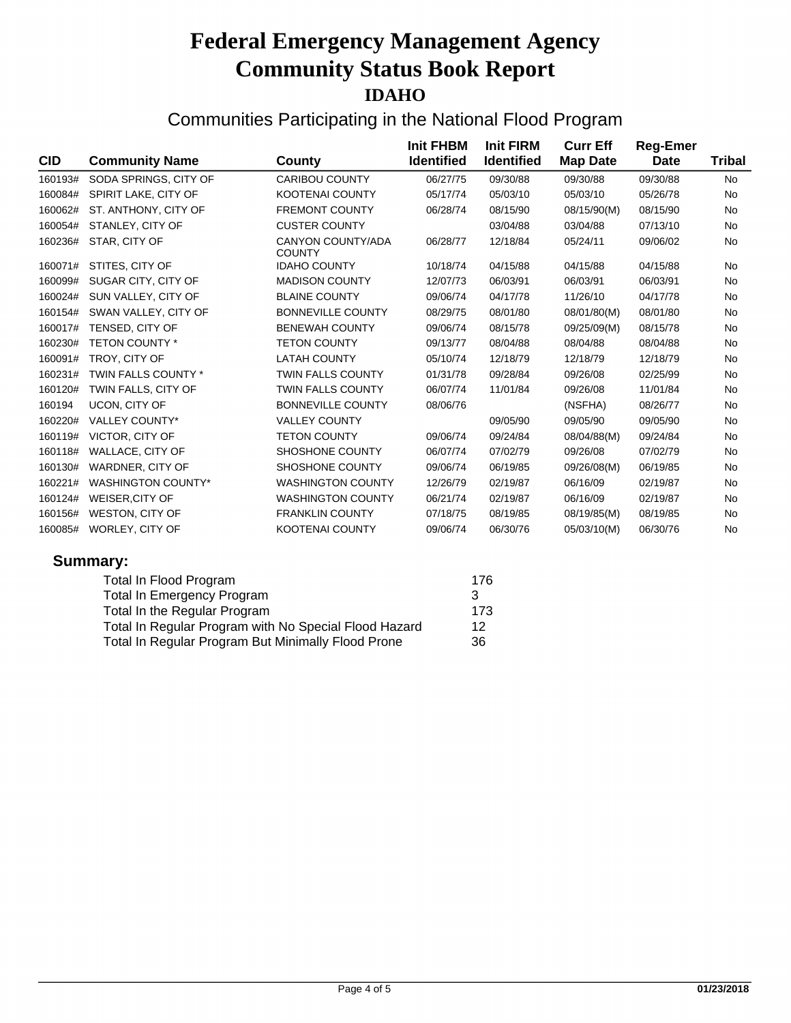| <b>CID</b> | <b>Community Name</b>     | County                                    | <b>Init FHBM</b><br><b>Identified</b> | <b>Init FIRM</b><br><b>Identified</b> | <b>Curr Eff</b><br><b>Map Date</b> | <b>Reg-Emer</b><br><b>Date</b> | <b>Tribal</b> |
|------------|---------------------------|-------------------------------------------|---------------------------------------|---------------------------------------|------------------------------------|--------------------------------|---------------|
| 160193#    | SODA SPRINGS, CITY OF     | <b>CARIBOU COUNTY</b>                     | 06/27/75                              | 09/30/88                              | 09/30/88                           | 09/30/88                       | <b>No</b>     |
| 160084#    | SPIRIT LAKE, CITY OF      | <b>KOOTENAI COUNTY</b>                    | 05/17/74                              | 05/03/10                              | 05/03/10                           | 05/26/78                       | No            |
| 160062#    | ST. ANTHONY, CITY OF      | <b>FREMONT COUNTY</b>                     | 06/28/74                              | 08/15/90                              | 08/15/90(M)                        | 08/15/90                       | No            |
| 160054#    | STANLEY, CITY OF          | <b>CUSTER COUNTY</b>                      |                                       | 03/04/88                              | 03/04/88                           | 07/13/10                       | <b>No</b>     |
| 160236#    | STAR, CITY OF             | <b>CANYON COUNTY/ADA</b><br><b>COUNTY</b> | 06/28/77                              | 12/18/84                              | 05/24/11                           | 09/06/02                       | No            |
| 160071#    | STITES, CITY OF           | <b>IDAHO COUNTY</b>                       | 10/18/74                              | 04/15/88                              | 04/15/88                           | 04/15/88                       | No            |
| 160099#    | SUGAR CITY, CITY OF       | <b>MADISON COUNTY</b>                     | 12/07/73                              | 06/03/91                              | 06/03/91                           | 06/03/91                       | <b>No</b>     |
| 160024#    | SUN VALLEY, CITY OF       | <b>BLAINE COUNTY</b>                      | 09/06/74                              | 04/17/78                              | 11/26/10                           | 04/17/78                       | No            |
| 160154#    | SWAN VALLEY, CITY OF      | <b>BONNEVILLE COUNTY</b>                  | 08/29/75                              | 08/01/80                              | 08/01/80(M)                        | 08/01/80                       | <b>No</b>     |
| 160017#    | TENSED, CITY OF           | <b>BENEWAH COUNTY</b>                     | 09/06/74                              | 08/15/78                              | 09/25/09(M)                        | 08/15/78                       | No            |
| 160230#    | <b>TETON COUNTY *</b>     | <b>TETON COUNTY</b>                       | 09/13/77                              | 08/04/88                              | 08/04/88                           | 08/04/88                       | No            |
| 160091#    | TROY, CITY OF             | <b>LATAH COUNTY</b>                       | 05/10/74                              | 12/18/79                              | 12/18/79                           | 12/18/79                       | No            |
| 160231#    | TWIN FALLS COUNTY *       | <b>TWIN FALLS COUNTY</b>                  | 01/31/78                              | 09/28/84                              | 09/26/08                           | 02/25/99                       | No            |
| 160120#    | TWIN FALLS, CITY OF       | <b>TWIN FALLS COUNTY</b>                  | 06/07/74                              | 11/01/84                              | 09/26/08                           | 11/01/84                       | No            |
| 160194     | UCON, CITY OF             | <b>BONNEVILLE COUNTY</b>                  | 08/06/76                              |                                       | (NSFHA)                            | 08/26/77                       | <b>No</b>     |
| 160220#    | <b>VALLEY COUNTY*</b>     | <b>VALLEY COUNTY</b>                      |                                       | 09/05/90                              | 09/05/90                           | 09/05/90                       | No            |
| 160119#    | VICTOR, CITY OF           | <b>TETON COUNTY</b>                       | 09/06/74                              | 09/24/84                              | 08/04/88(M)                        | 09/24/84                       | No            |
| 160118#    | WALLACE, CITY OF          | <b>SHOSHONE COUNTY</b>                    | 06/07/74                              | 07/02/79                              | 09/26/08                           | 07/02/79                       | <b>No</b>     |
| 160130#    | <b>WARDNER, CITY OF</b>   | SHOSHONE COUNTY                           | 09/06/74                              | 06/19/85                              | 09/26/08(M)                        | 06/19/85                       | <b>No</b>     |
| 160221#    | <b>WASHINGTON COUNTY*</b> | <b>WASHINGTON COUNTY</b>                  | 12/26/79                              | 02/19/87                              | 06/16/09                           | 02/19/87                       | <b>No</b>     |
| 160124#    | <b>WEISER, CITY OF</b>    | <b>WASHINGTON COUNTY</b>                  | 06/21/74                              | 02/19/87                              | 06/16/09                           | 02/19/87                       | No            |
| 160156#    | WESTON, CITY OF           | <b>FRANKLIN COUNTY</b>                    | 07/18/75                              | 08/19/85                              | 08/19/85(M)                        | 08/19/85                       | No            |
| 160085#    | WORLEY, CITY OF           | <b>KOOTENAI COUNTY</b>                    | 09/06/74                              | 06/30/76                              | 05/03/10(M)                        | 06/30/76                       | No            |
|            | Summary:                  |                                           |                                       |                                       |                                    |                                |               |

| Total In Flood Program                                | 176 |
|-------------------------------------------------------|-----|
| <b>Total In Emergency Program</b>                     | 3   |
| Total In the Regular Program                          | 173 |
| Total In Regular Program with No Special Flood Hazard | 12  |
| Total In Regular Program But Minimally Flood Prone    | 36  |